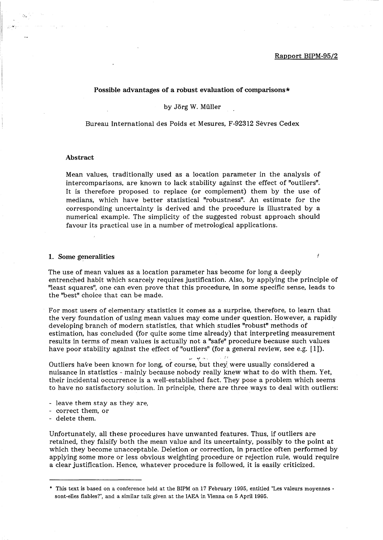#### Rapport BIPM-95/2

J

## Possible advantages of a robust evaluation of comparisons \*

by Jörg W. Müller

Bureau International des Poids et Mesures, F-92312 Sevres Cedex

# Abstract

Mean values, traditionally used as a location parameter in the analysis of intercomparisons, are known to lack stability against the effect of "outliers". It is therefore proposed to replace (or complement) them by the use of medians, which have better statistical "robustness". An estimate for the corresponding uncertainty is derived and the procedure is illustrated by a numerical example. The simplicity of the suggested robust approach should favour its practical use in a number of metrological applications.

#### 1. Some generalities

The use of mean values as a location parameter has become for long a deeply entrenched habit which scarcely requires justification. Also, by applying the principle of "least squares", one can even prove that this procedure, in some specific sense, leads to the "best" choice that can be made.

For most users of elementary statistics it comes as a surprise, therefore, to learn that the very foundation of using mean values may come under question. However, a rapidly developing branch of modern statistics, that which studies "robust" methods of estimation, has concluded (for quite some time already) that interpreting measurement results in terms of mean values is actually not a "safe" procedure because such values have poor stability against the effect of "outliers" (for a general review, see e.g. [1]).

Outliers have been known for long, of course, but they were usually considered a nuisance in statistics - mainly because nobody really knew what to do with them. Yet, their incidental occurrence is a well-established fact. They pose a problem which seems to have no satisfactory solution. In principle, there are three ways to deal with outliers:

.,~ *"'t* ......

 $\lesssim$  14

- leave them stay as they are,
- correct them, or
- delete them.

Unfortunately, all these procedures have unwanted features. Thus, if outliers are retained, they falsify both the mean value and its uncertainty, possibly to the point at which they become unacceptable. Deletion or correction, in practice often performed by applying some more or less obvious weighting procedure or rejection rule, would require a clear justification. Hence, whatever procedure is followed, it is easily criticized.

<sup>•</sup> This text is based on a conference held at the BIPM on 17 February 1995, entitled "Les valeurs moyennes sont-elles flables?", and a similar talk given at the IAEA in Vienna on 5 April 1995.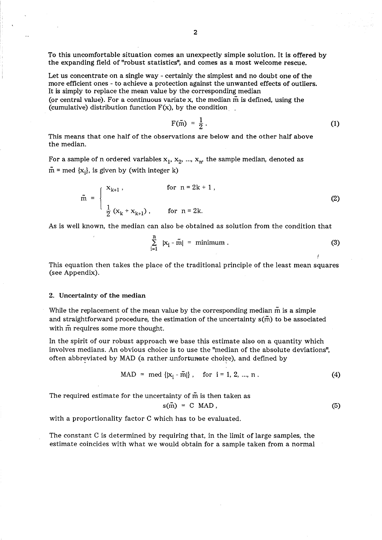To this uncomfortable situation comes an unexpectIy simple solution. It is offered by the expanding field of "robust statistics", and comes as a most welcome rescue.

Let us concentrate on a single way - certainly the simplest and no doubt one of the more efficient ones - to achieve a protection against the unwanted effects of outliers. It is simply to replace the mean value by the corresponding median (or central value). For a continuous variate x, the median  $\tilde{m}$  is defined, using the (cumulative) distribution function  $F(x)$ , by the condition.

$$
F(\tilde{m}) = \frac{1}{2} \,. \tag{1}
$$

This means that one half of the observations are below and the other half above the median.

For a sample of n ordered variables  $x_1$ ,  $x_2$ , ...,  $x_n$ , the sample median, denoted as  $\tilde{m}$  = med {x<sub>i</sub>}, is given by (with integer k)

$$
\tilde{m} = \begin{cases} x_{k+1}, & \text{for } n = 2k + 1, \\ \frac{1}{2} (x_k + x_{k+1}), & \text{for } n = 2k. \end{cases}
$$
 (2)

As is well known, the median can also be obtained as solution from the condition that

$$
\sum_{i=1}^{n} |x_i - \tilde{m}| = \text{minimum} \tag{3}
$$

This equation then takes the place of the traditional principle of the least mean squares (see Appendix).

### 2. Uncertainty of the median

While the replacement of the mean value by the corresponding median  $\tilde{m}$  is a simple and straightforward procedure, the estimation of the uncertainty  $s(\tilde{m})$  to be associated with  $\tilde{m}$  requires some more thought.

In the spirit of our robust approach we base this estimate also on a quantity which involves medians. An obvious choice is to use the "median of the absolute deviations", often abbreviated by MAD (a rather unfortunate choice), and defined by

$$
MAD = med \{ |x_i - \tilde{m}| \}, \quad for \ i = 1, 2, ..., n .
$$
 (4)

The required estimate for the uncertainty of  $\tilde{m}$  is then taken as

$$
s(\tilde{m}) = C MAD, \qquad (5)
$$

with a proportionality factor C which has to be evaluated.

The constant C is determined by requiring that, in the limit of large samples, the estimate coincides with what we would obtain for a sample taken from a normal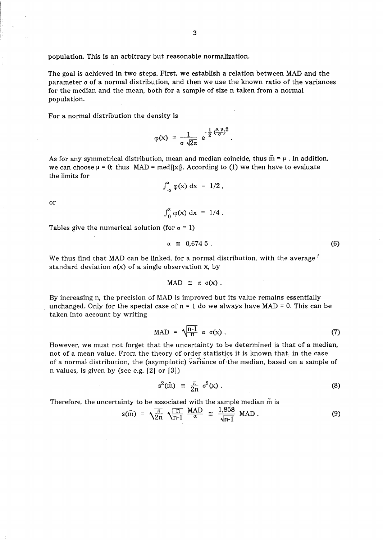population. This is an arbitrary but reasonable normalization.

The goal is achieved in two steps. First, we establish a relation between MAD and the parameter *a* of a normal distribution, and then we use the known ratio of the variances for the median and the mean, both for a sample of size n taken from a normal population.

For a normal distribution the density is

$$
\varphi(x) = \frac{1}{\sigma \sqrt{2\pi}} e^{-\frac{1}{2} \left(\frac{x-\mu}{\sigma}\right)^2}
$$

As for any symmetrical distribution, mean and median coincide, thus  $\tilde{m} = \mu$ . In addition, we can choose  $\mu = 0$ ; thus MAD = med{|x|}. According to (1) we then have to evaluate the limits for

$$
\int_{-\alpha}^{\alpha} \varphi(x) \, \mathrm{d}x = 1/2 \, ,
$$

or

$$
\int_0^{\alpha} \varphi(x) dx = 1/4.
$$

Tables give the numerical solution (for  $\sigma = 1$ )

$$
\alpha \cong 0,674.5 \tag{6}
$$

We thus find that MAD can be linked, for a normal distribution, with the average  $\ell$ standard deviation  $\sigma(x)$  of a single observation x, by

$$
MAD \cong \alpha \sigma(x).
$$

By increasing n, the precision of MAD is improved but its value remains essentially unchanged. Only for the special case of  $n = 1$  do we always have MAD = 0. This can be taken into account by writing

$$
MAD = \sqrt{\frac{n-1}{n}} \alpha \sigma(x) . \qquad (7)
$$

However, we must not forget that the uncertainty to be determined is that of a median, not of a mean value. From the theory of order statistics it is known that, in the case of a normal distribution, the (asymptotic) variance of the median, based on a sample of n values, is given by (see e.g. [2] or [3])

$$
s^2(\tilde{m}) \cong \frac{\pi}{2n} \sigma^2(x) \tag{8}
$$

Therefore, the uncertainty to be associated with the sample median  $\tilde{m}$  is

$$
s(\tilde{m}) = \sqrt{\frac{\pi}{2n}} \sqrt{\frac{n}{n-1}} \frac{MAD}{\alpha} \cong \frac{1,858}{\sqrt{n-1}} \text{ MAD}.
$$
 (9)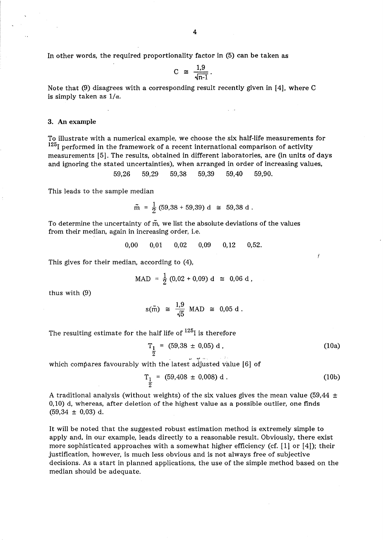In other words, the required proportionality factor in (5) can be taken as

$$
C \cong \frac{1,9}{\sqrt{n-1}}.
$$

Note that (9) disagrees with a corresponding result recently given in [4], where C is simply taken as  $1/\alpha$ .

# 3. An example

To illustrate with a numerical example, we choose the six half-life measurements for  $125$ <sub>I</sub> performed in the framework of a recent international comparison of activity measurements [5]. The results, obtained in different laboratories, are (in units of days and ignoring the stated uncertainties), when arranged in order of increasing values,

$$
59,26 \qquad 59,29 \qquad 59,38 \qquad 59,39 \qquad 59,40 \qquad 59,90.
$$

This leads to the sample median

$$
\tilde{m} = \frac{1}{2} (59,38 + 59,39) d \approx 59,38 d.
$$

To determine the uncertainty of m, we list the absolute deviations of the values from their median, again in increasing order, i.e.

$$
0,00 \qquad 0,01 \qquad 0,02 \qquad 0,09 \qquad 0,12 \qquad 0,52.
$$

This gives for their median, according to (4),

$$
MAD = \frac{1}{2} (0.02 + 0.09) d \approx 0.06 d,
$$

thus with (9)

$$
s(\tilde{m}) \cong \frac{1.9}{\sqrt{5}} \text{ MAD} \cong 0.05 \text{ d}.
$$

The resulting estimate for the half life of  $125$  is therefore

$$
T_{\frac{1}{2}} = (59.38 \pm 0.05) d,
$$
 (10a)

Ĭ

which compares favourably with the latest adjusted value [6] of

$$
T_{\frac{1}{2}} = (59,408 \pm 0,008) d. \tag{10b}
$$

A traditional analysis (without weights) of the six values gives the mean value (59,44  $\pm$ 0,10) d, whereas, after deletion of the highest value as a possible outlier, one finds  $(59,34 \pm 0,03)$  d.

It will be noted that the suggested robust estimation method is extremely simple to apply and, in our example, leads directly to a reasonable result. Obviously, there exist more sophisticated approaches with a somewhat higher efficiency (cf. [1] or [4]); their justification, however, is much less obvious and is not always free of subjective decisions. As a start in planned applications, the use of the simple method based on the median should be adequate.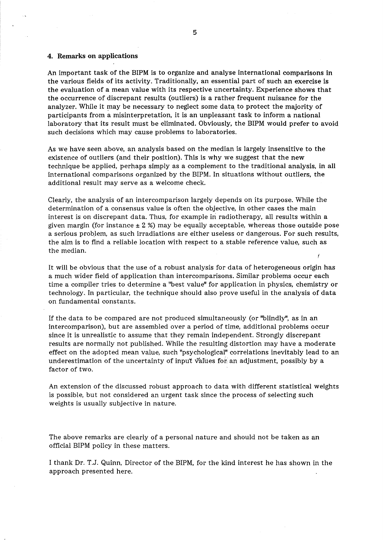# 4. Remarks on applications

An important task of the BIPM is to organize and analyse international comparisons in the various fields of its activity. Traditionally, an essential part of such an exercise is the evaluation of a mean value with its respective uncertainty. Experience shows that the occurrence of discrepant results (outliers) is a rather frequent nuisance for the analyzer. While it may be necessary to neglect some data to protect the majority of participants from a misinterpretation, it is an unpleasant task to inform a national laboratory that its result must be eliminated. Obviously, the BIPM would prefer to avoid such decisions which may cause problems to laboratories.

As we have seen above, an analysis based on the median is largely insensitive to the existence of outliers (and their position). This is why we suggest that the new technique be applied, perhaps simply as a complement to the traditional analysis, in all international comparisons organized by the BIPM. In situations without outliers, the additional result may serve as a welcome check.

Clearly, the analysis of an intercomparison largely depends on its purpose. While the determination of a consensus value is often the objective, in other cases the main interest is on discrepant data. Thus, for example in radiotherapy, all results within a given margin (for instance  $\pm$  2 %) may be equally acceptable, whereas those outside pose a serious problem, as such irradiations are either useless or dangerous. For such results, the aim is to find a reliable location with respect to a stable reference value, such as the median.

It will be obvious that the use of a robust analysis for data of heterogeneous origin has a much wider field of application than intercomparisons. Similar problems occur each time a compiler tries to determine a "best value" for application in physics, chemistry or technology. In particular, the technique should also prove useful in the analysis of data on fundamental constants.

If the data to be compared are not produced simultaneously (or "blindly", as in an intercomparison), but are assembled over a period of time, additional problems occur since it is unrealistic to assume that they remain independent. Strongly discrepant results are normally not published. While the resulting distortion may have a moderate effect on the adopted mean value, such "psychological" correlations inevitably lead to an underestimation of the uncertainty of input  $\sqrt[n]{a}$  luits for an adjustment, possibly by a factor of two.

An extension of the discussed robust approach to data with different statistical weights is possible, but not considered an urgent task since the process of selecting such weights is usually subjective in nature.

The above remarks are clearly of a personal nature and should not be taken as an official BIPM policy in these matters.

I thank Dr. T.J. Quinn, Director of the BIPM, for the kind interest he has shown in the approach presented here.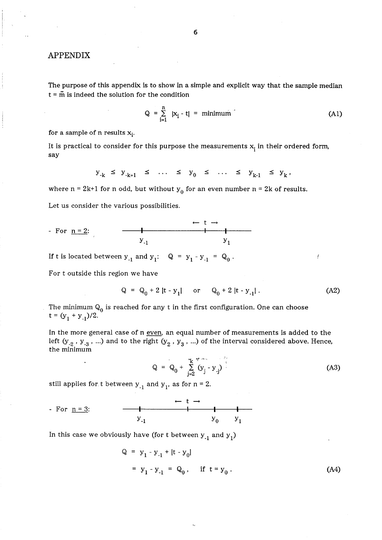# APPENDIX

The purpose of this appendix is to show in a simple and explicit way that the sample median  $t = \tilde{m}$  is indeed the solution for the condition

$$
Q = \sum_{i=1}^{n} |x_i - t| = \text{minimum} \tag{A1}
$$

for a sample of n results  $x_i$ .

It is practical to consider for this purpose the measurements  $x_i$  in their ordered form, say

$$
y_{-k} \le y_{-k+1} \le \ldots \le y_0 \le \ldots \le y_{k-1} \le y_k
$$

where  $n = 2k+1$  for n odd, but without  $y_0$  for an even number  $n = 2k$  of results.

Let us consider the various possibilities.

For 
$$
n = 2
$$
:  
 $y_{-1}$   $y_{1}$   $y_{1}$ 

If t is located between  $y_{-1}$  and  $y_1: Q = y_1 - y_{-1} = Q_0$ .

For t outside this region we have

$$
Q = Q_0 + 2 |t - y_1| \quad \text{or} \quad Q_0 + 2 |t - y_1| \,. \tag{A2}
$$

The minimum  $Q_0$  is reached for any t in the first configuration. One can choose  $t = (y_1 + y_1)/2.$ 

In the more general case of n even, an equal number of measurements is added to the left (y<sub>-2</sub>, y<sub>-3</sub>, ...) and to the right (y<sub>2</sub>, y<sub>3</sub>, ...) of the interval considered above. Hence, the minimum

$$
Q = Q_0 + \sum_{j=2}^{k} (y_j - y_j)
$$
 (A3)

still applies for t between  $y_{-1}$  and  $y_1$ , as for  $n = 2$ .

For 
$$
n = 3
$$
:  
\n $y_{-1}$   
\n $y_0$   
\n $y_1$ 

In this case we obviously have (for t between  $y_{-1}$  and  $y_1$ )

$$
Q = y_1 - y_{-1} + [t - y_0]
$$
  
= y\_1 - y\_{-1} = Q\_0, if t = y\_0. (A4)